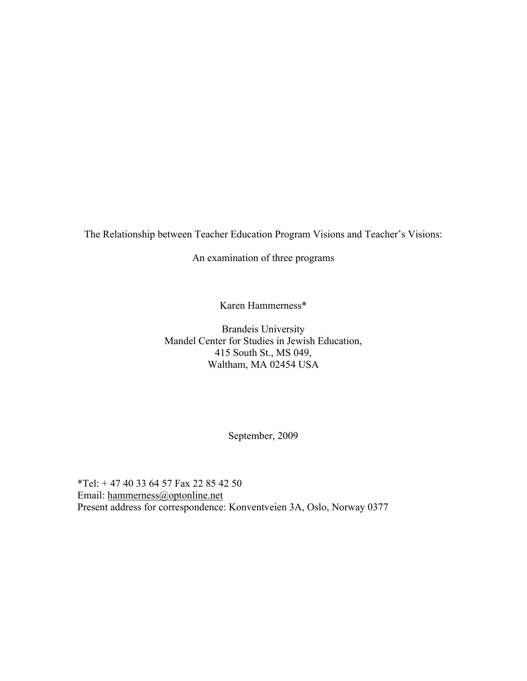The Relationship between Teacher Education Program Visions and Teacher's Visions:

An examination of three programs

Karen Hammerness\*

Brandeis University Mandel Center for Studies in Jewish Education, 415 South St., MS 049, Waltham, MA 02454 USA

September, 2009

\*Tel: + 47 40 33 64 57 Fax 22 85 42 50 Email: hammerness@optonline.net Present address for correspondence: Konventveien 3A, Oslo, Norway 0377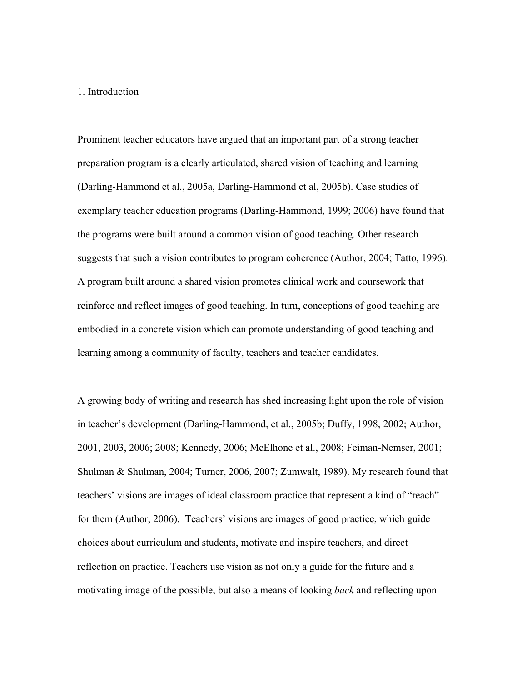### 1. Introduction

Prominent teacher educators have argued that an important part of a strong teacher preparation program is a clearly articulated, shared vision of teaching and learning (Darling-Hammond et al., 2005a, Darling-Hammond et al, 2005b). Case studies of exemplary teacher education programs (Darling-Hammond, 1999; 2006) have found that the programs were built around a common vision of good teaching. Other research suggests that such a vision contributes to program coherence (Author, 2004; Tatto, 1996). A program built around a shared vision promotes clinical work and coursework that reinforce and reflect images of good teaching. In turn, conceptions of good teaching are embodied in a concrete vision which can promote understanding of good teaching and learning among a community of faculty, teachers and teacher candidates.

A growing body of writing and research has shed increasing light upon the role of vision in teacher's development (Darling-Hammond, et al., 2005b; Duffy, 1998, 2002; Author, 2001, 2003, 2006; 2008; Kennedy, 2006; McElhone et al., 2008; Feiman-Nemser, 2001; Shulman & Shulman, 2004; Turner, 2006, 2007; Zumwalt, 1989). My research found that teachers' visions are images of ideal classroom practice that represent a kind of "reach" for them (Author, 2006). Teachers' visions are images of good practice, which guide choices about curriculum and students, motivate and inspire teachers, and direct reflection on practice. Teachers use vision as not only a guide for the future and a motivating image of the possible, but also a means of looking *back* and reflecting upon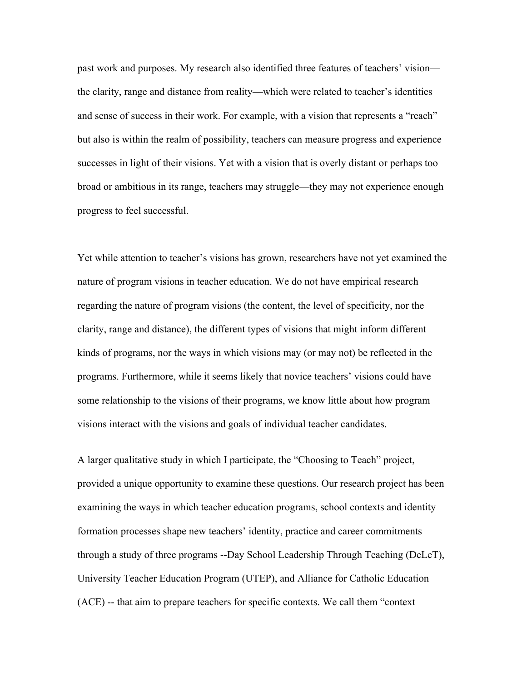past work and purposes. My research also identified three features of teachers' vision the clarity, range and distance from reality—which were related to teacher's identities and sense of success in their work. For example, with a vision that represents a "reach" but also is within the realm of possibility, teachers can measure progress and experience successes in light of their visions. Yet with a vision that is overly distant or perhaps too broad or ambitious in its range, teachers may struggle—they may not experience enough progress to feel successful.

Yet while attention to teacher's visions has grown, researchers have not yet examined the nature of program visions in teacher education. We do not have empirical research regarding the nature of program visions (the content, the level of specificity, nor the clarity, range and distance), the different types of visions that might inform different kinds of programs, nor the ways in which visions may (or may not) be reflected in the programs. Furthermore, while it seems likely that novice teachers' visions could have some relationship to the visions of their programs, we know little about how program visions interact with the visions and goals of individual teacher candidates.

A larger qualitative study in which I participate, the "Choosing to Teach" project, provided a unique opportunity to examine these questions. Our research project has been examining the ways in which teacher education programs, school contexts and identity formation processes shape new teachers' identity, practice and career commitments through a study of three programs --Day School Leadership Through Teaching (DeLeT), University Teacher Education Program (UTEP), and Alliance for Catholic Education (ACE) -- that aim to prepare teachers for specific contexts. We call them "context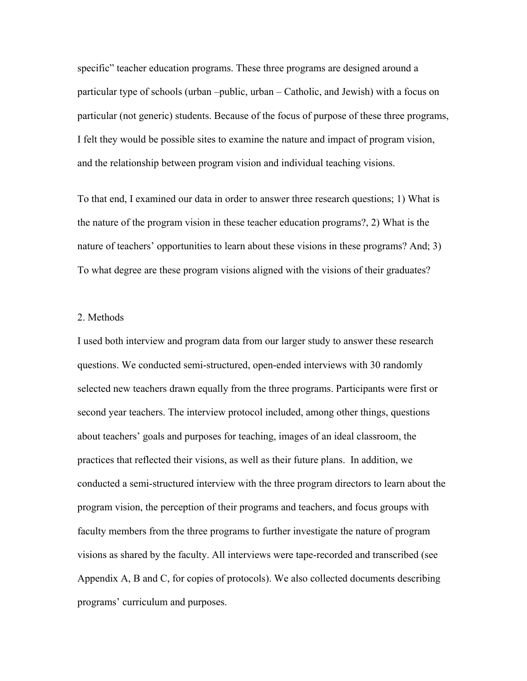specific" teacher education programs. These three programs are designed around a particular type of schools (urban –public, urban – Catholic, and Jewish) with a focus on particular (not generic) students. Because of the focus of purpose of these three programs, I felt they would be possible sites to examine the nature and impact of program vision, and the relationship between program vision and individual teaching visions.

To that end, I examined our data in order to answer three research questions; 1) What is the nature of the program vision in these teacher education programs?, 2) What is the nature of teachers' opportunities to learn about these visions in these programs? And; 3) To what degree are these program visions aligned with the visions of their graduates?

### 2. Methods

I used both interview and program data from our larger study to answer these research questions. We conducted semi-structured, open-ended interviews with 30 randomly selected new teachers drawn equally from the three programs. Participants were first or second year teachers. The interview protocol included, among other things, questions about teachers' goals and purposes for teaching, images of an ideal classroom, the practices that reflected their visions, as well as their future plans. In addition, we conducted a semi-structured interview with the three program directors to learn about the program vision, the perception of their programs and teachers, and focus groups with faculty members from the three programs to further investigate the nature of program visions as shared by the faculty. All interviews were tape-recorded and transcribed (see Appendix A, B and C, for copies of protocols). We also collected documents describing programs' curriculum and purposes.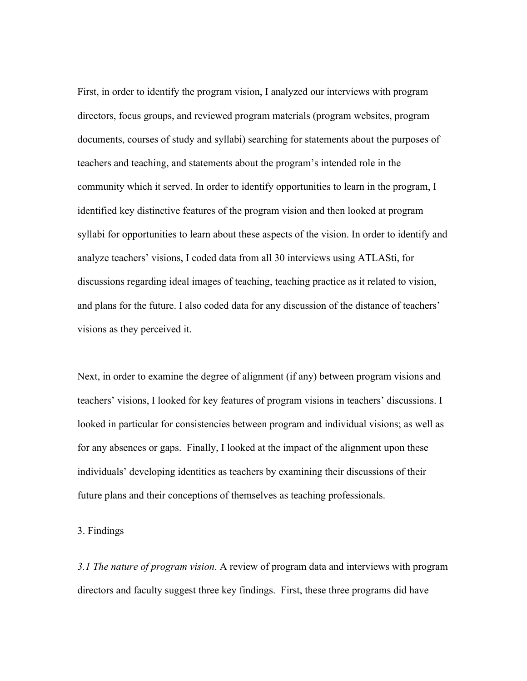First, in order to identify the program vision, I analyzed our interviews with program directors, focus groups, and reviewed program materials (program websites, program documents, courses of study and syllabi) searching for statements about the purposes of teachers and teaching, and statements about the program's intended role in the community which it served. In order to identify opportunities to learn in the program, I identified key distinctive features of the program vision and then looked at program syllabi for opportunities to learn about these aspects of the vision. In order to identify and analyze teachers' visions, I coded data from all 30 interviews using ATLASti, for discussions regarding ideal images of teaching, teaching practice as it related to vision, and plans for the future. I also coded data for any discussion of the distance of teachers' visions as they perceived it.

Next, in order to examine the degree of alignment (if any) between program visions and teachers' visions, I looked for key features of program visions in teachers' discussions. I looked in particular for consistencies between program and individual visions; as well as for any absences or gaps. Finally, I looked at the impact of the alignment upon these individuals' developing identities as teachers by examining their discussions of their future plans and their conceptions of themselves as teaching professionals.

### 3. Findings

*3.1 The nature of program vision*. A review of program data and interviews with program directors and faculty suggest three key findings. First, these three programs did have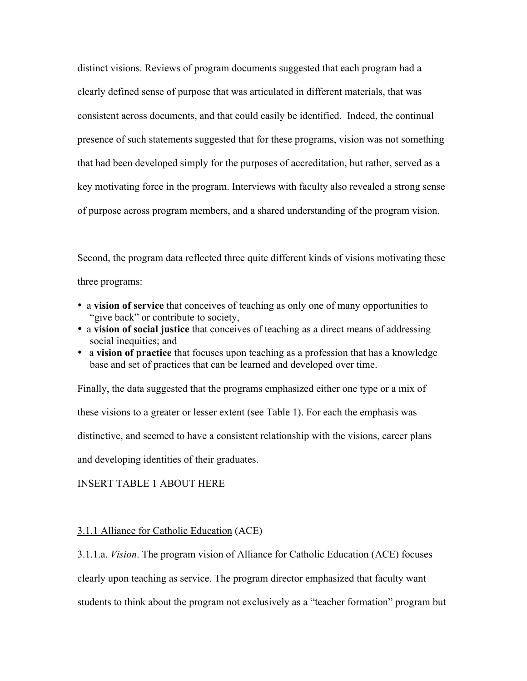distinct visions. Reviews of program documents suggested that each program had a clearly defined sense of purpose that was articulated in different materials, that was consistent across documents, and that could easily be identified. Indeed, the continual presence of such statements suggested that for these programs, vision was not something that had been developed simply for the purposes of accreditation, but rather, served as a key motivating force in the program. Interviews with faculty also revealed a strong sense of purpose across program members, and a shared understanding of the program vision.

Second, the program data reflected three quite different kinds of visions motivating these three programs:

- a **vision of service** that conceives of teaching as only one of many opportunities to "give back" or contribute to society,
- a **vision of social justice** that conceives of teaching as a direct means of addressing social inequities; and
- a **vision of practice** that focuses upon teaching as a profession that has a knowledge base and set of practices that can be learned and developed over time.

Finally, the data suggested that the programs emphasized either one type or a mix of these visions to a greater or lesser extent (see Table 1). For each the emphasis was distinctive, and seemed to have a consistent relationship with the visions, career plans and developing identities of their graduates.

INSERT TABLE 1 ABOUT HERE

### 3.1.1 Alliance for Catholic Education (ACE)

3.1.1.a. *Vision*. The program vision of Alliance for Catholic Education (ACE) focuses clearly upon teaching as service. The program director emphasized that faculty want students to think about the program not exclusively as a "teacher formation" program but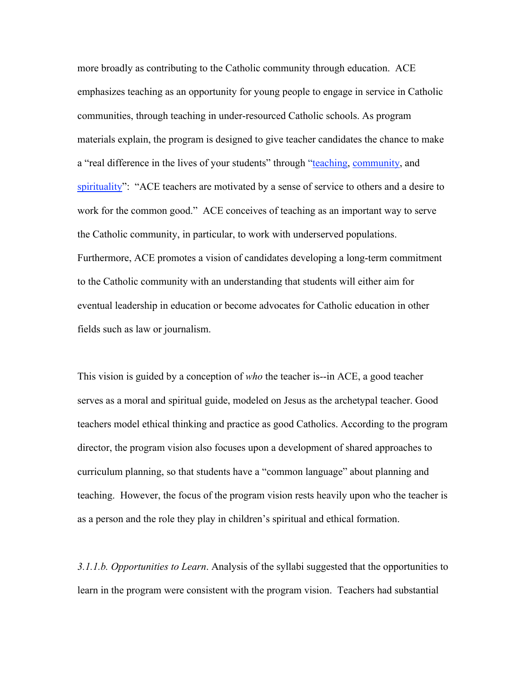more broadly as contributing to the Catholic community through education. ACE emphasizes teaching as an opportunity for young people to engage in service in Catholic communities, through teaching in under-resourced Catholic schools. As program materials explain, the program is designed to give teacher candidates the chance to make a "real difference in the lives of your students" through "teaching, community, and spirituality": "ACE teachers are motivated by a sense of service to others and a desire to work for the common good." ACE conceives of teaching as an important way to serve the Catholic community, in particular, to work with underserved populations. Furthermore, ACE promotes a vision of candidates developing a long-term commitment to the Catholic community with an understanding that students will either aim for eventual leadership in education or become advocates for Catholic education in other fields such as law or journalism.

This vision is guided by a conception of *who* the teacher is--in ACE, a good teacher serves as a moral and spiritual guide, modeled on Jesus as the archetypal teacher. Good teachers model ethical thinking and practice as good Catholics. According to the program director, the program vision also focuses upon a development of shared approaches to curriculum planning, so that students have a "common language" about planning and teaching. However, the focus of the program vision rests heavily upon who the teacher is as a person and the role they play in children's spiritual and ethical formation.

*3.1.1.b. Opportunities to Learn*. Analysis of the syllabi suggested that the opportunities to learn in the program were consistent with the program vision. Teachers had substantial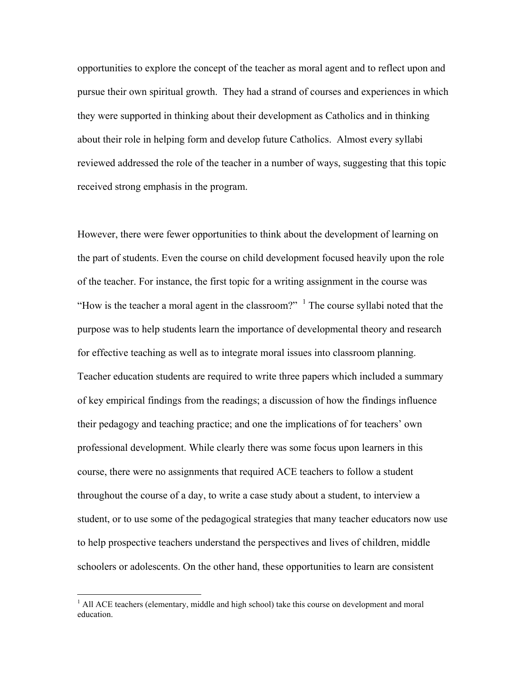opportunities to explore the concept of the teacher as moral agent and to reflect upon and pursue their own spiritual growth. They had a strand of courses and experiences in which they were supported in thinking about their development as Catholics and in thinking about their role in helping form and develop future Catholics. Almost every syllabi reviewed addressed the role of the teacher in a number of ways, suggesting that this topic received strong emphasis in the program.

However, there were fewer opportunities to think about the development of learning on the part of students. Even the course on child development focused heavily upon the role of the teacher. For instance, the first topic for a writing assignment in the course was "How is the teacher a moral agent in the classroom?"  $\frac{1}{1}$  The course syllabi noted that the purpose was to help students learn the importance of developmental theory and research for effective teaching as well as to integrate moral issues into classroom planning. Teacher education students are required to write three papers which included a summary of key empirical findings from the readings; a discussion of how the findings influence their pedagogy and teaching practice; and one the implications of for teachers' own professional development. While clearly there was some focus upon learners in this course, there were no assignments that required ACE teachers to follow a student throughout the course of a day, to write a case study about a student, to interview a student, or to use some of the pedagogical strategies that many teacher educators now use to help prospective teachers understand the perspectives and lives of children, middle schoolers or adolescents. On the other hand, these opportunities to learn are consistent

 $\frac{1}{1}$ <sup>1</sup> All ACE teachers (elementary, middle and high school) take this course on development and moral education.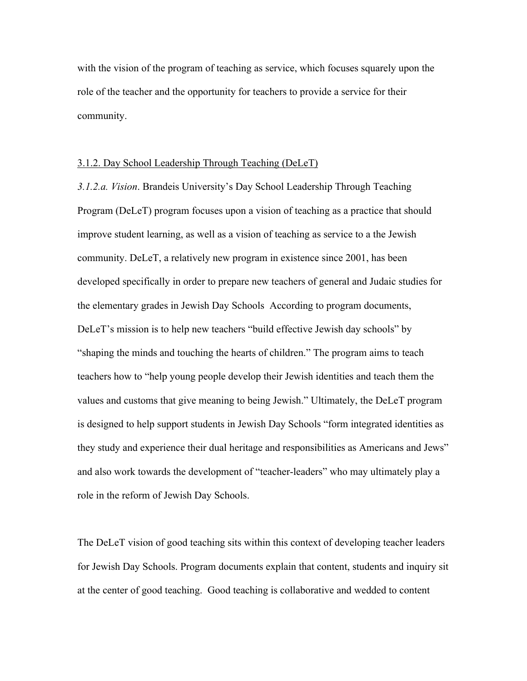with the vision of the program of teaching as service, which focuses squarely upon the role of the teacher and the opportunity for teachers to provide a service for their community.

#### 3.1.2. Day School Leadership Through Teaching (DeLeT)

*3.1.2.a. Vision*. Brandeis University's Day School Leadership Through Teaching Program (DeLeT) program focuses upon a vision of teaching as a practice that should improve student learning, as well as a vision of teaching as service to a the Jewish community. DeLeT, a relatively new program in existence since 2001, has been developed specifically in order to prepare new teachers of general and Judaic studies for the elementary grades in Jewish Day Schools According to program documents, DeLeT's mission is to help new teachers "build effective Jewish day schools" by "shaping the minds and touching the hearts of children." The program aims to teach teachers how to "help young people develop their Jewish identities and teach them the values and customs that give meaning to being Jewish." Ultimately, the DeLeT program is designed to help support students in Jewish Day Schools "form integrated identities as they study and experience their dual heritage and responsibilities as Americans and Jews" and also work towards the development of "teacher-leaders" who may ultimately play a role in the reform of Jewish Day Schools.

The DeLeT vision of good teaching sits within this context of developing teacher leaders for Jewish Day Schools. Program documents explain that content, students and inquiry sit at the center of good teaching. Good teaching is collaborative and wedded to content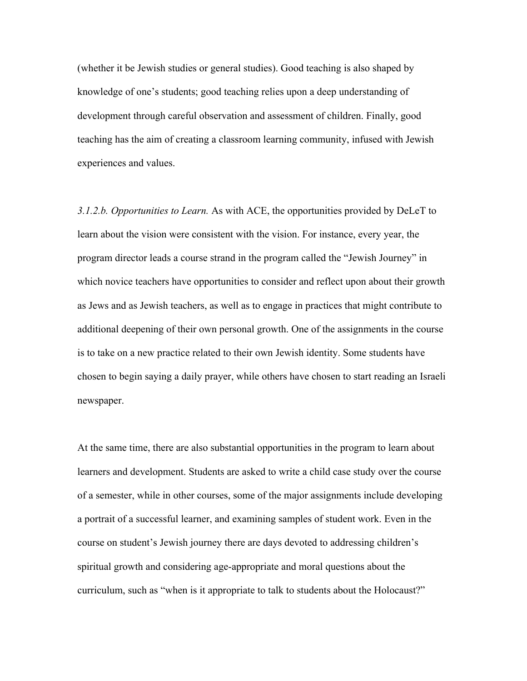(whether it be Jewish studies or general studies). Good teaching is also shaped by knowledge of one's students; good teaching relies upon a deep understanding of development through careful observation and assessment of children. Finally, good teaching has the aim of creating a classroom learning community, infused with Jewish experiences and values.

*3.1.2.b. Opportunities to Learn.* As with ACE, the opportunities provided by DeLeT to learn about the vision were consistent with the vision. For instance, every year, the program director leads a course strand in the program called the "Jewish Journey" in which novice teachers have opportunities to consider and reflect upon about their growth as Jews and as Jewish teachers, as well as to engage in practices that might contribute to additional deepening of their own personal growth. One of the assignments in the course is to take on a new practice related to their own Jewish identity. Some students have chosen to begin saying a daily prayer, while others have chosen to start reading an Israeli newspaper.

At the same time, there are also substantial opportunities in the program to learn about learners and development. Students are asked to write a child case study over the course of a semester, while in other courses, some of the major assignments include developing a portrait of a successful learner, and examining samples of student work. Even in the course on student's Jewish journey there are days devoted to addressing children's spiritual growth and considering age-appropriate and moral questions about the curriculum, such as "when is it appropriate to talk to students about the Holocaust?"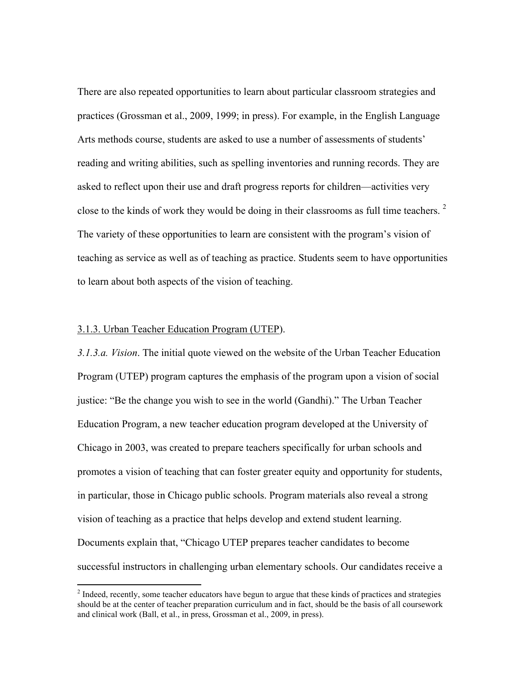There are also repeated opportunities to learn about particular classroom strategies and practices (Grossman et al., 2009, 1999; in press). For example, in the English Language Arts methods course, students are asked to use a number of assessments of students' reading and writing abilities, such as spelling inventories and running records. They are asked to reflect upon their use and draft progress reports for children—activities very close to the kinds of work they would be doing in their classrooms as full time teachers.  $2^{\circ}$ The variety of these opportunities to learn are consistent with the program's vision of teaching as service as well as of teaching as practice. Students seem to have opportunities to learn about both aspects of the vision of teaching.

#### 3.1.3. Urban Teacher Education Program (UTEP).

*3.1.3.a. Vision*. The initial quote viewed on the website of the Urban Teacher Education Program (UTEP) program captures the emphasis of the program upon a vision of social justice: "Be the change you wish to see in the world (Gandhi)." The Urban Teacher Education Program, a new teacher education program developed at the University of Chicago in 2003, was created to prepare teachers specifically for urban schools and promotes a vision of teaching that can foster greater equity and opportunity for students, in particular, those in Chicago public schools. Program materials also reveal a strong vision of teaching as a practice that helps develop and extend student learning. Documents explain that, "Chicago UTEP prepares teacher candidates to become successful instructors in challenging urban elementary schools. Our candidates receive a

 $\frac{1}{2}$ <sup>2</sup> Indeed, recently, some teacher educators have begun to argue that these kinds of practices and strategies should be at the center of teacher preparation curriculum and in fact, should be the basis of all coursework and clinical work (Ball, et al., in press, Grossman et al., 2009, in press).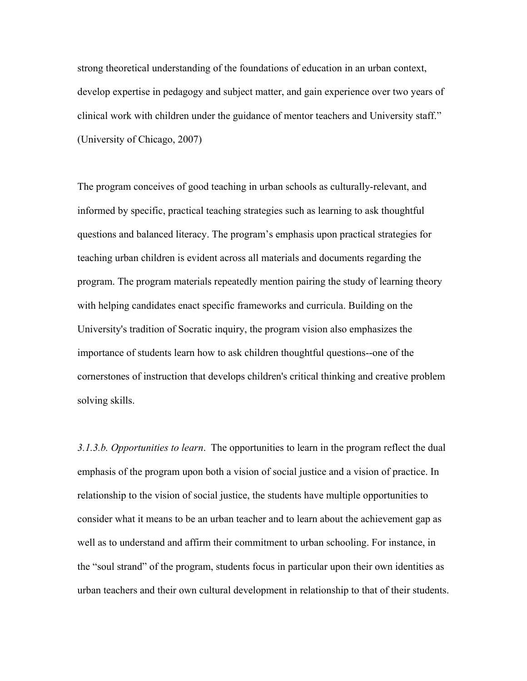strong theoretical understanding of the foundations of education in an urban context, develop expertise in pedagogy and subject matter, and gain experience over two years of clinical work with children under the guidance of mentor teachers and University staff." (University of Chicago, 2007)

The program conceives of good teaching in urban schools as culturally-relevant, and informed by specific, practical teaching strategies such as learning to ask thoughtful questions and balanced literacy. The program's emphasis upon practical strategies for teaching urban children is evident across all materials and documents regarding the program. The program materials repeatedly mention pairing the study of learning theory with helping candidates enact specific frameworks and curricula. Building on the University's tradition of Socratic inquiry, the program vision also emphasizes the importance of students learn how to ask children thoughtful questions--one of the cornerstones of instruction that develops children's critical thinking and creative problem solving skills.

*3.1.3.b. Opportunities to learn*. The opportunities to learn in the program reflect the dual emphasis of the program upon both a vision of social justice and a vision of practice. In relationship to the vision of social justice, the students have multiple opportunities to consider what it means to be an urban teacher and to learn about the achievement gap as well as to understand and affirm their commitment to urban schooling. For instance, in the "soul strand" of the program, students focus in particular upon their own identities as urban teachers and their own cultural development in relationship to that of their students.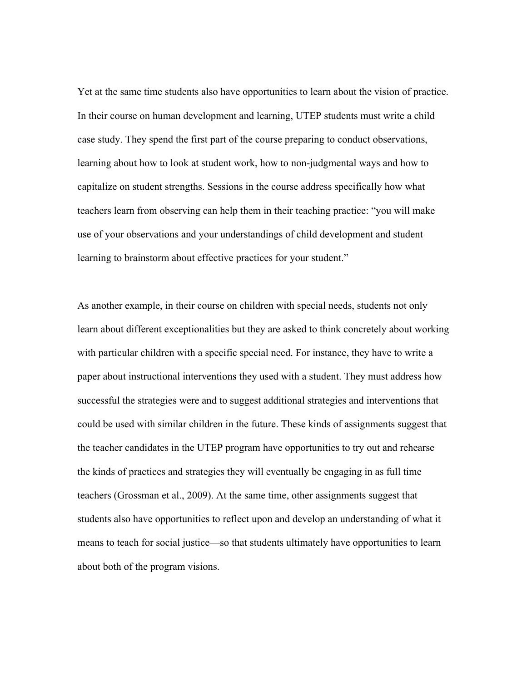Yet at the same time students also have opportunities to learn about the vision of practice. In their course on human development and learning, UTEP students must write a child case study. They spend the first part of the course preparing to conduct observations, learning about how to look at student work, how to non-judgmental ways and how to capitalize on student strengths. Sessions in the course address specifically how what teachers learn from observing can help them in their teaching practice: "you will make use of your observations and your understandings of child development and student learning to brainstorm about effective practices for your student."

As another example, in their course on children with special needs, students not only learn about different exceptionalities but they are asked to think concretely about working with particular children with a specific special need. For instance, they have to write a paper about instructional interventions they used with a student. They must address how successful the strategies were and to suggest additional strategies and interventions that could be used with similar children in the future. These kinds of assignments suggest that the teacher candidates in the UTEP program have opportunities to try out and rehearse the kinds of practices and strategies they will eventually be engaging in as full time teachers (Grossman et al., 2009). At the same time, other assignments suggest that students also have opportunities to reflect upon and develop an understanding of what it means to teach for social justice—so that students ultimately have opportunities to learn about both of the program visions.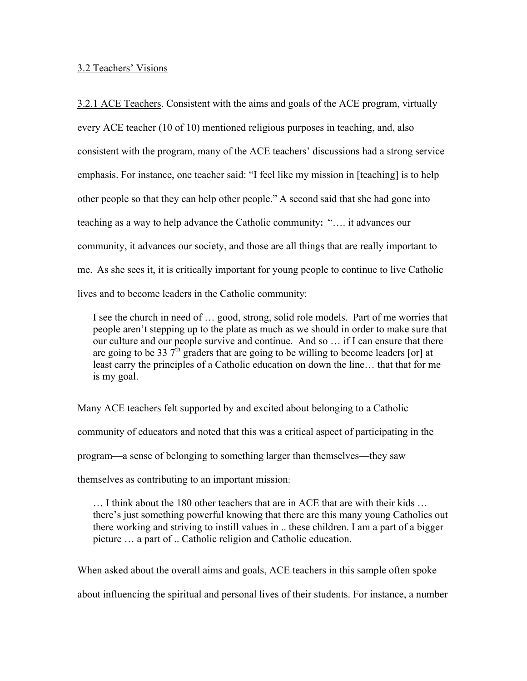3.2 Teachers' Visions

3.2.1 ACE Teachers. Consistent with the aims and goals of the ACE program, virtually every ACE teacher (10 of 10) mentioned religious purposes in teaching, and, also consistent with the program, many of the ACE teachers' discussions had a strong service emphasis. For instance, one teacher said: "I feel like my mission in [teaching] is to help other people so that they can help other people." A second said that she had gone into teaching as a way to help advance the Catholic community**:** "…. it advances our community, it advances our society, and those are all things that are really important to me. As she sees it, it is critically important for young people to continue to live Catholic lives and to become leaders in the Catholic community:

I see the church in need of … good, strong, solid role models. Part of me worries that people aren't stepping up to the plate as much as we should in order to make sure that our culture and our people survive and continue. And so … if I can ensure that there are going to be 33  $7^{\text{th}}$  graders that are going to be willing to become leaders [or] at least carry the principles of a Catholic education on down the line… that that for me is my goal.

Many ACE teachers felt supported by and excited about belonging to a Catholic community of educators and noted that this was a critical aspect of participating in the program—a sense of belonging to something larger than themselves—they saw themselves as contributing to an important mission:

… I think about the 180 other teachers that are in ACE that are with their kids … there's just something powerful knowing that there are this many young Catholics out there working and striving to instill values in .. these children. I am a part of a bigger picture … a part of .. Catholic religion and Catholic education.

When asked about the overall aims and goals, ACE teachers in this sample often spoke about influencing the spiritual and personal lives of their students. For instance, a number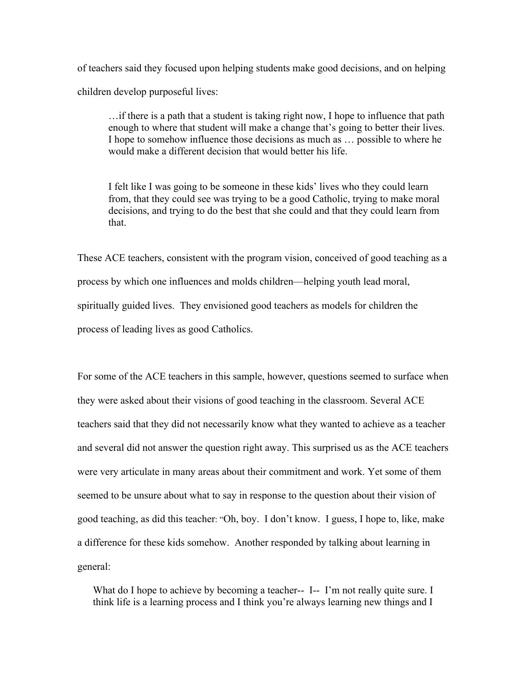of teachers said they focused upon helping students make good decisions, and on helping children develop purposeful lives:

…if there is a path that a student is taking right now, I hope to influence that path enough to where that student will make a change that's going to better their lives. I hope to somehow influence those decisions as much as … possible to where he would make a different decision that would better his life.

I felt like I was going to be someone in these kids' lives who they could learn from, that they could see was trying to be a good Catholic, trying to make moral decisions, and trying to do the best that she could and that they could learn from that.

These ACE teachers, consistent with the program vision, conceived of good teaching as a process by which one influences and molds children—helping youth lead moral, spiritually guided lives. They envisioned good teachers as models for children the process of leading lives as good Catholics.

For some of the ACE teachers in this sample, however, questions seemed to surface when they were asked about their visions of good teaching in the classroom. Several ACE teachers said that they did not necessarily know what they wanted to achieve as a teacher and several did not answer the question right away. This surprised us as the ACE teachers were very articulate in many areas about their commitment and work. Yet some of them seemed to be unsure about what to say in response to the question about their vision of good teaching, as did this teacher: "Oh, boy. I don't know. I guess, I hope to, like, make a difference for these kids somehow. Another responded by talking about learning in general:

What do I hope to achieve by becoming a teacher-- I-- I'm not really quite sure. I think life is a learning process and I think you're always learning new things and I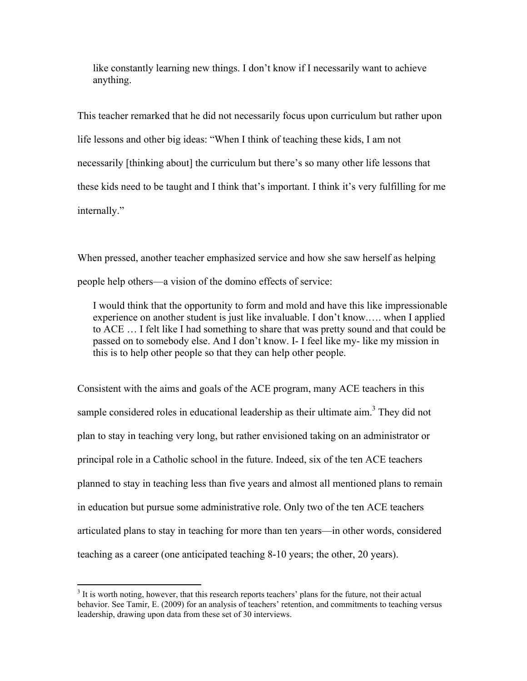like constantly learning new things. I don't know if I necessarily want to achieve anything.

This teacher remarked that he did not necessarily focus upon curriculum but rather upon life lessons and other big ideas: "When I think of teaching these kids, I am not necessarily [thinking about] the curriculum but there's so many other life lessons that these kids need to be taught and I think that's important. I think it's very fulfilling for me internally."

When pressed, another teacher emphasized service and how she saw herself as helping people help others—a vision of the domino effects of service:

I would think that the opportunity to form and mold and have this like impressionable experience on another student is just like invaluable. I don't know.…. when I applied to ACE … I felt like I had something to share that was pretty sound and that could be passed on to somebody else. And I don't know. I- I feel like my- like my mission in this is to help other people so that they can help other people.

Consistent with the aims and goals of the ACE program, many ACE teachers in this sample considered roles in educational leadership as their ultimate  $\dim$ <sup>3</sup>. They did not plan to stay in teaching very long, but rather envisioned taking on an administrator or principal role in a Catholic school in the future. Indeed, six of the ten ACE teachers planned to stay in teaching less than five years and almost all mentioned plans to remain in education but pursue some administrative role. Only two of the ten ACE teachers articulated plans to stay in teaching for more than ten years—in other words, considered teaching as a career (one anticipated teaching 8-10 years; the other, 20 years).

<sup>&</sup>lt;sup>3</sup>  $3$  It is worth noting, however, that this research reports teachers' plans for the future, not their actual behavior. See Tamir, E. (2009) for an analysis of teachers' retention, and commitments to teaching versus leadership, drawing upon data from these set of 30 interviews.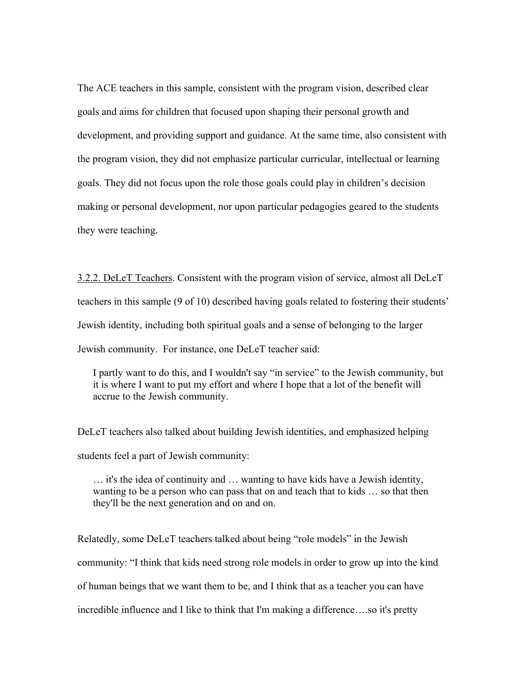The ACE teachers in this sample, consistent with the program vision, described clear goals and aims for children that focused upon shaping their personal growth and development, and providing support and guidance. At the same time, also consistent with the program vision, they did not emphasize particular curricular, intellectual or learning goals. They did not focus upon the role those goals could play in children's decision making or personal development, nor upon particular pedagogies geared to the students they were teaching.

3.2.2. DeLeT Teachers. Consistent with the program vision of service, almost all DeLeT teachers in this sample (9 of 10) described having goals related to fostering their students' Jewish identity, including both spiritual goals and a sense of belonging to the larger Jewish community. For instance, one DeLeT teacher said:

I partly want to do this, and I wouldn't say "in service" to the Jewish community, but it is where I want to put my effort and where I hope that a lot of the benefit will accrue to the Jewish community.

DeLeT teachers also talked about building Jewish identities, and emphasized helping students feel a part of Jewish community:

… it's the idea of continuity and … wanting to have kids have a Jewish identity, wanting to be a person who can pass that on and teach that to kids … so that then they'll be the next generation and on and on.

Relatedly, some DeLeT teachers talked about being "role models" in the Jewish community: "I think that kids need strong role models in order to grow up into the kind of human beings that we want them to be, and I think that as a teacher you can have incredible influence and I like to think that I'm making a difference….so it's pretty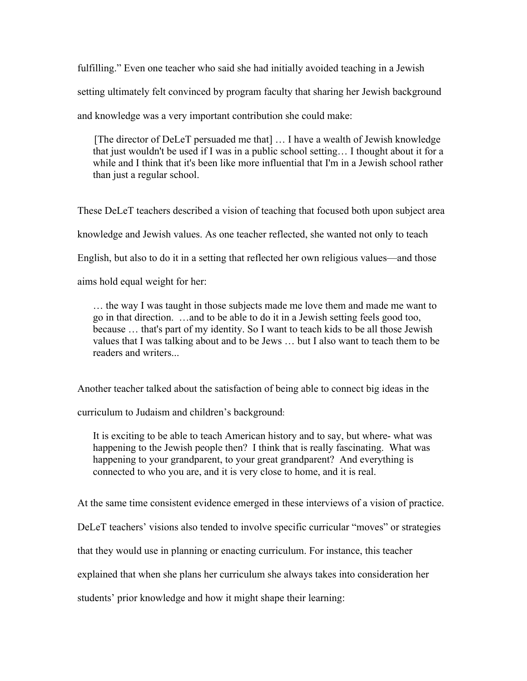fulfilling." Even one teacher who said she had initially avoided teaching in a Jewish setting ultimately felt convinced by program faculty that sharing her Jewish background and knowledge was a very important contribution she could make:

[The director of DeLeT persuaded me that] … I have a wealth of Jewish knowledge that just wouldn't be used if I was in a public school setting… I thought about it for a while and I think that it's been like more influential that I'm in a Jewish school rather than just a regular school.

These DeLeT teachers described a vision of teaching that focused both upon subject area knowledge and Jewish values. As one teacher reflected, she wanted not only to teach English, but also to do it in a setting that reflected her own religious values—and those aims hold equal weight for her:

… the way I was taught in those subjects made me love them and made me want to go in that direction. …and to be able to do it in a Jewish setting feels good too, because … that's part of my identity. So I want to teach kids to be all those Jewish values that I was talking about and to be Jews … but I also want to teach them to be readers and writers...

Another teacher talked about the satisfaction of being able to connect big ideas in the

curriculum to Judaism and children's background:

It is exciting to be able to teach American history and to say, but where- what was happening to the Jewish people then? I think that is really fascinating. What was happening to your grandparent, to your great grandparent? And everything is connected to who you are, and it is very close to home, and it is real.

At the same time consistent evidence emerged in these interviews of a vision of practice.

DeLeT teachers' visions also tended to involve specific curricular "moves" or strategies

that they would use in planning or enacting curriculum. For instance, this teacher

explained that when she plans her curriculum she always takes into consideration her

students' prior knowledge and how it might shape their learning: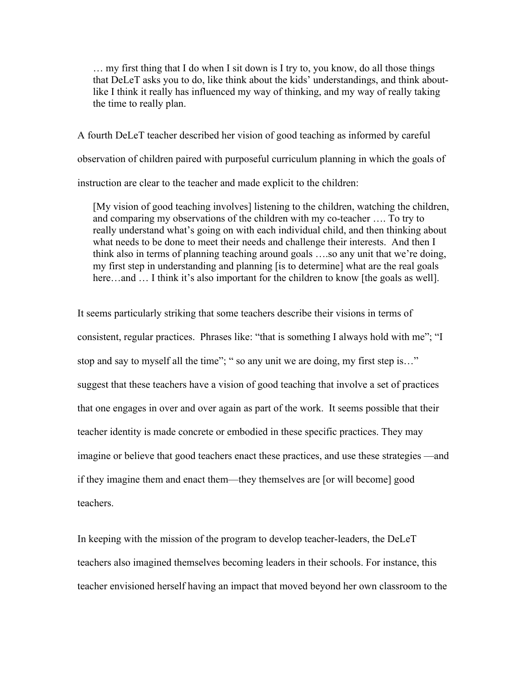… my first thing that I do when I sit down is I try to, you know, do all those things that DeLeT asks you to do, like think about the kids' understandings, and think aboutlike I think it really has influenced my way of thinking, and my way of really taking the time to really plan.

A fourth DeLeT teacher described her vision of good teaching as informed by careful observation of children paired with purposeful curriculum planning in which the goals of instruction are clear to the teacher and made explicit to the children:

[My vision of good teaching involves] listening to the children, watching the children, and comparing my observations of the children with my co-teacher …. To try to really understand what's going on with each individual child, and then thinking about what needs to be done to meet their needs and challenge their interests. And then I think also in terms of planning teaching around goals ….so any unit that we're doing, my first step in understanding and planning [is to determine] what are the real goals here…and … I think it's also important for the children to know [the goals as well].

It seems particularly striking that some teachers describe their visions in terms of consistent, regular practices. Phrases like: "that is something I always hold with me"; "I stop and say to myself all the time"; " so any unit we are doing, my first step is…" suggest that these teachers have a vision of good teaching that involve a set of practices that one engages in over and over again as part of the work. It seems possible that their teacher identity is made concrete or embodied in these specific practices. They may imagine or believe that good teachers enact these practices, and use these strategies —and if they imagine them and enact them—they themselves are [or will become] good teachers.

In keeping with the mission of the program to develop teacher-leaders, the DeLeT teachers also imagined themselves becoming leaders in their schools. For instance, this teacher envisioned herself having an impact that moved beyond her own classroom to the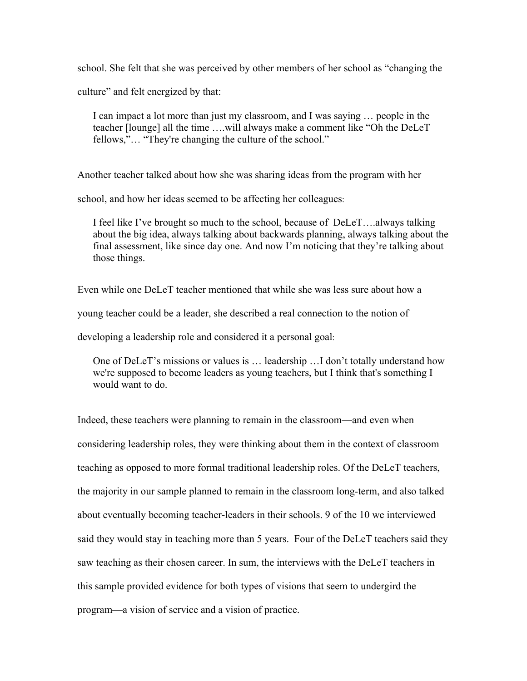school. She felt that she was perceived by other members of her school as "changing the

culture" and felt energized by that:

I can impact a lot more than just my classroom, and I was saying … people in the teacher [lounge] all the time ….will always make a comment like "Oh the DeLeT fellows,"… "They're changing the culture of the school."

Another teacher talked about how she was sharing ideas from the program with her

school, and how her ideas seemed to be affecting her colleagues:

I feel like I've brought so much to the school, because of DeLeT….always talking about the big idea, always talking about backwards planning, always talking about the final assessment, like since day one. And now I'm noticing that they're talking about those things.

Even while one DeLeT teacher mentioned that while she was less sure about how a

young teacher could be a leader, she described a real connection to the notion of

developing a leadership role and considered it a personal goal:

One of DeLeT's missions or values is … leadership …I don't totally understand how we're supposed to become leaders as young teachers, but I think that's something I would want to do.

Indeed, these teachers were planning to remain in the classroom—and even when considering leadership roles, they were thinking about them in the context of classroom teaching as opposed to more formal traditional leadership roles. Of the DeLeT teachers, the majority in our sample planned to remain in the classroom long-term, and also talked about eventually becoming teacher-leaders in their schools. 9 of the 10 we interviewed said they would stay in teaching more than 5 years. Four of the DeLeT teachers said they saw teaching as their chosen career. In sum, the interviews with the DeLeT teachers in this sample provided evidence for both types of visions that seem to undergird the program—a vision of service and a vision of practice.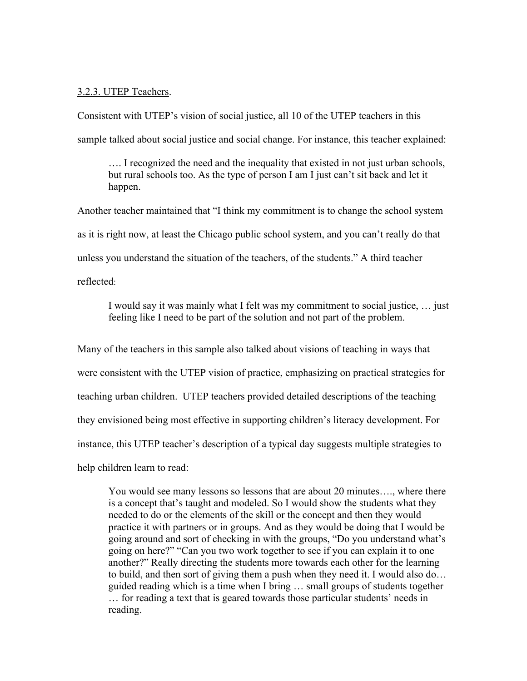### 3.2.3. UTEP Teachers.

Consistent with UTEP's vision of social justice, all 10 of the UTEP teachers in this sample talked about social justice and social change. For instance, this teacher explained:

…. I recognized the need and the inequality that existed in not just urban schools, but rural schools too. As the type of person I am I just can't sit back and let it happen.

Another teacher maintained that "I think my commitment is to change the school system as it is right now, at least the Chicago public school system, and you can't really do that unless you understand the situation of the teachers, of the students." A third teacher reflected:

I would say it was mainly what I felt was my commitment to social justice, … just feeling like I need to be part of the solution and not part of the problem.

Many of the teachers in this sample also talked about visions of teaching in ways that were consistent with the UTEP vision of practice, emphasizing on practical strategies for teaching urban children. UTEP teachers provided detailed descriptions of the teaching they envisioned being most effective in supporting children's literacy development. For instance, this UTEP teacher's description of a typical day suggests multiple strategies to help children learn to read:

You would see many lessons so lessons that are about 20 minutes…., where there is a concept that's taught and modeled. So I would show the students what they needed to do or the elements of the skill or the concept and then they would practice it with partners or in groups. And as they would be doing that I would be going around and sort of checking in with the groups, "Do you understand what's going on here?" "Can you two work together to see if you can explain it to one another?" Really directing the students more towards each other for the learning to build, and then sort of giving them a push when they need it. I would also do… guided reading which is a time when I bring … small groups of students together … for reading a text that is geared towards those particular students' needs in reading.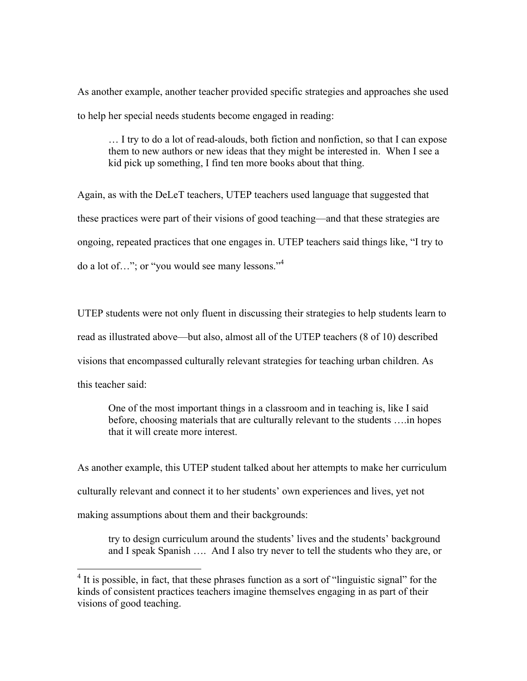As another example, another teacher provided specific strategies and approaches she used to help her special needs students become engaged in reading:

… I try to do a lot of read-alouds, both fiction and nonfiction, so that I can expose them to new authors or new ideas that they might be interested in. When I see a kid pick up something, I find ten more books about that thing.

Again, as with the DeLeT teachers, UTEP teachers used language that suggested that these practices were part of their visions of good teaching—and that these strategies are ongoing, repeated practices that one engages in. UTEP teachers said things like, "I try to do a lot of…"; or "you would see many lessons."<sup>4</sup>

UTEP students were not only fluent in discussing their strategies to help students learn to read as illustrated above—but also, almost all of the UTEP teachers (8 of 10) described visions that encompassed culturally relevant strategies for teaching urban children. As this teacher said:

One of the most important things in a classroom and in teaching is, like I said before, choosing materials that are culturally relevant to the students ….in hopes that it will create more interest.

As another example, this UTEP student talked about her attempts to make her curriculum culturally relevant and connect it to her students' own experiences and lives, yet not making assumptions about them and their backgrounds:

try to design curriculum around the students' lives and the students' background and I speak Spanish …. And I also try never to tell the students who they are, or

<sup>&</sup>lt;sup>4</sup> It is possible, in fact, that these phrases function as a sort of "linguistic signal" for the kinds of consistent practices teachers imagine themselves engaging in as part of their visions of good teaching.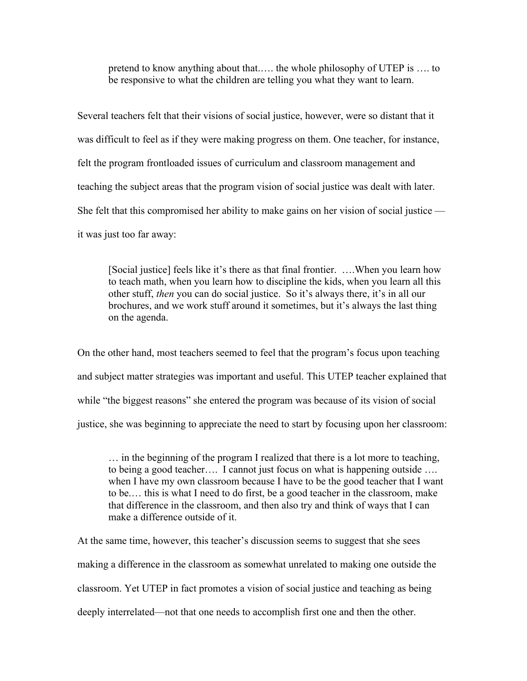pretend to know anything about that.…. the whole philosophy of UTEP is …. to be responsive to what the children are telling you what they want to learn.

Several teachers felt that their visions of social justice, however, were so distant that it was difficult to feel as if they were making progress on them. One teacher, for instance, felt the program frontloaded issues of curriculum and classroom management and teaching the subject areas that the program vision of social justice was dealt with later. She felt that this compromised her ability to make gains on her vision of social justice it was just too far away:

[Social justice] feels like it's there as that final frontier. ….When you learn how to teach math, when you learn how to discipline the kids, when you learn all this other stuff, *then* you can do social justice. So it's always there, it's in all our brochures, and we work stuff around it sometimes, but it's always the last thing on the agenda.

On the other hand, most teachers seemed to feel that the program's focus upon teaching and subject matter strategies was important and useful. This UTEP teacher explained that while "the biggest reasons" she entered the program was because of its vision of social justice, she was beginning to appreciate the need to start by focusing upon her classroom:

… in the beginning of the program I realized that there is a lot more to teaching, to being a good teacher…. I cannot just focus on what is happening outside …. when I have my own classroom because I have to be the good teacher that I want to be.… this is what I need to do first, be a good teacher in the classroom, make that difference in the classroom, and then also try and think of ways that I can make a difference outside of it.

At the same time, however, this teacher's discussion seems to suggest that she sees making a difference in the classroom as somewhat unrelated to making one outside the classroom. Yet UTEP in fact promotes a vision of social justice and teaching as being deeply interrelated—not that one needs to accomplish first one and then the other.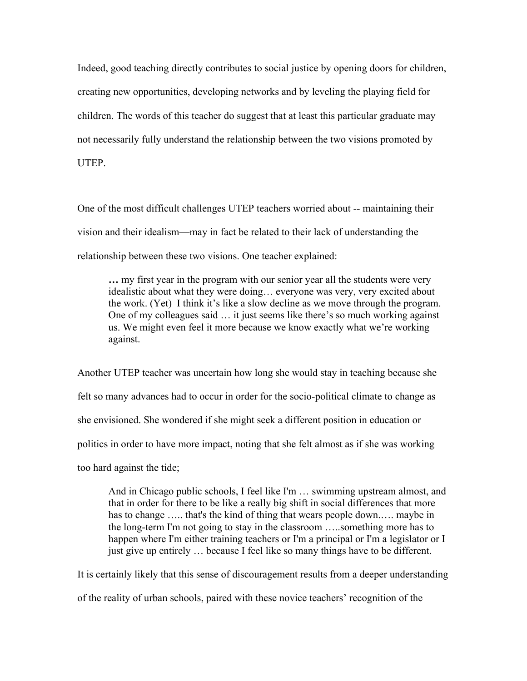Indeed, good teaching directly contributes to social justice by opening doors for children, creating new opportunities, developing networks and by leveling the playing field for children. The words of this teacher do suggest that at least this particular graduate may not necessarily fully understand the relationship between the two visions promoted by **UTEP** 

One of the most difficult challenges UTEP teachers worried about -- maintaining their vision and their idealism—may in fact be related to their lack of understanding the relationship between these two visions. One teacher explained:

**…** my first year in the program with our senior year all the students were very idealistic about what they were doing… everyone was very, very excited about the work. (Yet) I think it's like a slow decline as we move through the program. One of my colleagues said … it just seems like there's so much working against us. We might even feel it more because we know exactly what we're working against.

Another UTEP teacher was uncertain how long she would stay in teaching because she felt so many advances had to occur in order for the socio-political climate to change as she envisioned. She wondered if she might seek a different position in education or politics in order to have more impact, noting that she felt almost as if she was working too hard against the tide;

And in Chicago public schools, I feel like I'm … swimming upstream almost, and that in order for there to be like a really big shift in social differences that more has to change ….. that's the kind of thing that wears people down.…. maybe in the long-term I'm not going to stay in the classroom …..something more has to happen where I'm either training teachers or I'm a principal or I'm a legislator or I just give up entirely … because I feel like so many things have to be different.

It is certainly likely that this sense of discouragement results from a deeper understanding of the reality of urban schools, paired with these novice teachers' recognition of the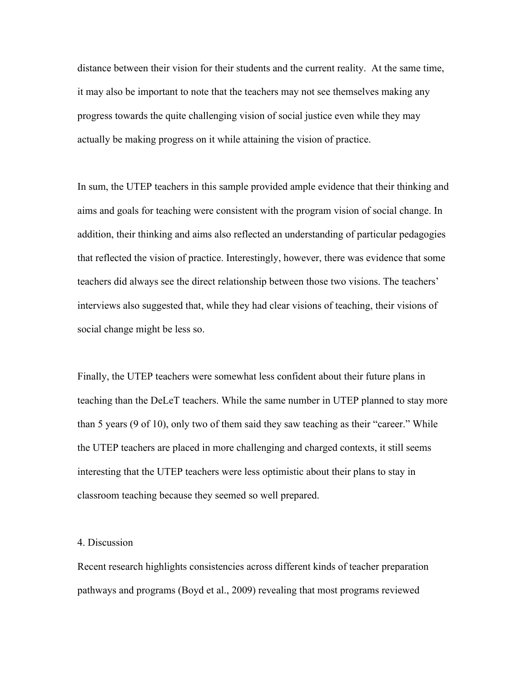distance between their vision for their students and the current reality. At the same time, it may also be important to note that the teachers may not see themselves making any progress towards the quite challenging vision of social justice even while they may actually be making progress on it while attaining the vision of practice.

In sum, the UTEP teachers in this sample provided ample evidence that their thinking and aims and goals for teaching were consistent with the program vision of social change. In addition, their thinking and aims also reflected an understanding of particular pedagogies that reflected the vision of practice. Interestingly, however, there was evidence that some teachers did always see the direct relationship between those two visions. The teachers' interviews also suggested that, while they had clear visions of teaching, their visions of social change might be less so.

Finally, the UTEP teachers were somewhat less confident about their future plans in teaching than the DeLeT teachers. While the same number in UTEP planned to stay more than 5 years (9 of 10), only two of them said they saw teaching as their "career." While the UTEP teachers are placed in more challenging and charged contexts, it still seems interesting that the UTEP teachers were less optimistic about their plans to stay in classroom teaching because they seemed so well prepared.

### 4. Discussion

Recent research highlights consistencies across different kinds of teacher preparation pathways and programs (Boyd et al., 2009) revealing that most programs reviewed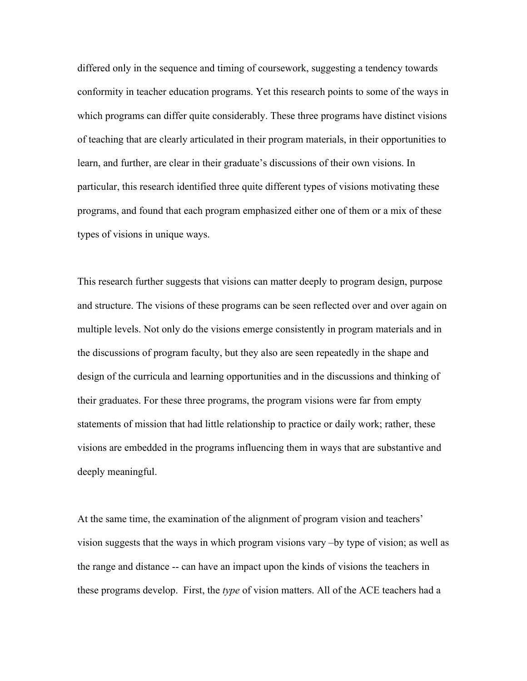differed only in the sequence and timing of coursework, suggesting a tendency towards conformity in teacher education programs. Yet this research points to some of the ways in which programs can differ quite considerably. These three programs have distinct visions of teaching that are clearly articulated in their program materials, in their opportunities to learn, and further, are clear in their graduate's discussions of their own visions. In particular, this research identified three quite different types of visions motivating these programs, and found that each program emphasized either one of them or a mix of these types of visions in unique ways.

This research further suggests that visions can matter deeply to program design, purpose and structure. The visions of these programs can be seen reflected over and over again on multiple levels. Not only do the visions emerge consistently in program materials and in the discussions of program faculty, but they also are seen repeatedly in the shape and design of the curricula and learning opportunities and in the discussions and thinking of their graduates. For these three programs, the program visions were far from empty statements of mission that had little relationship to practice or daily work; rather, these visions are embedded in the programs influencing them in ways that are substantive and deeply meaningful.

At the same time, the examination of the alignment of program vision and teachers' vision suggests that the ways in which program visions vary –by type of vision; as well as the range and distance -- can have an impact upon the kinds of visions the teachers in these programs develop. First, the *type* of vision matters. All of the ACE teachers had a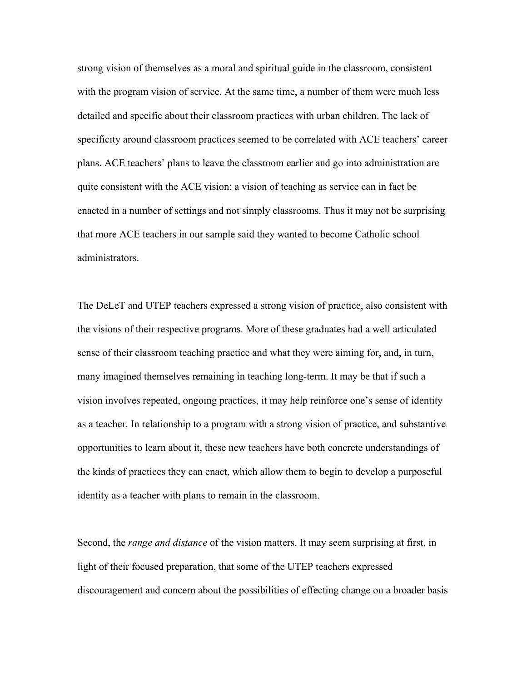strong vision of themselves as a moral and spiritual guide in the classroom, consistent with the program vision of service. At the same time, a number of them were much less detailed and specific about their classroom practices with urban children. The lack of specificity around classroom practices seemed to be correlated with ACE teachers' career plans. ACE teachers' plans to leave the classroom earlier and go into administration are quite consistent with the ACE vision: a vision of teaching as service can in fact be enacted in a number of settings and not simply classrooms. Thus it may not be surprising that more ACE teachers in our sample said they wanted to become Catholic school administrators.

The DeLeT and UTEP teachers expressed a strong vision of practice, also consistent with the visions of their respective programs. More of these graduates had a well articulated sense of their classroom teaching practice and what they were aiming for, and, in turn, many imagined themselves remaining in teaching long-term. It may be that if such a vision involves repeated, ongoing practices, it may help reinforce one's sense of identity as a teacher. In relationship to a program with a strong vision of practice, and substantive opportunities to learn about it, these new teachers have both concrete understandings of the kinds of practices they can enact, which allow them to begin to develop a purposeful identity as a teacher with plans to remain in the classroom.

Second, the *range and distance* of the vision matters. It may seem surprising at first, in light of their focused preparation, that some of the UTEP teachers expressed discouragement and concern about the possibilities of effecting change on a broader basis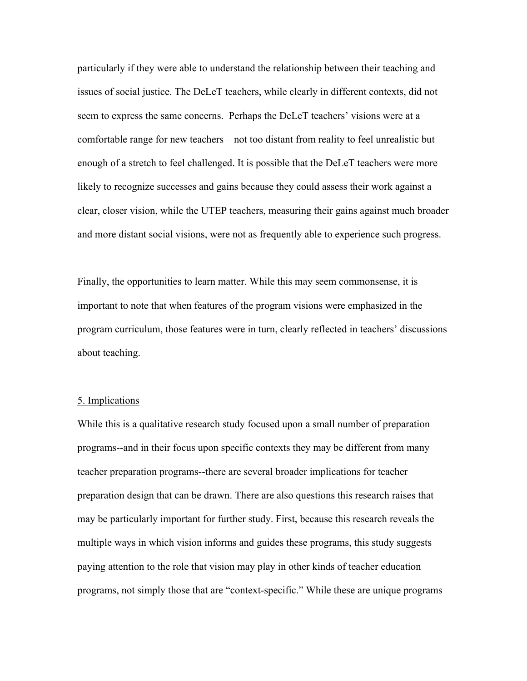particularly if they were able to understand the relationship between their teaching and issues of social justice. The DeLeT teachers, while clearly in different contexts, did not seem to express the same concerns. Perhaps the DeLeT teachers' visions were at a comfortable range for new teachers – not too distant from reality to feel unrealistic but enough of a stretch to feel challenged. It is possible that the DeLeT teachers were more likely to recognize successes and gains because they could assess their work against a clear, closer vision, while the UTEP teachers, measuring their gains against much broader and more distant social visions, were not as frequently able to experience such progress.

Finally, the opportunities to learn matter. While this may seem commonsense, it is important to note that when features of the program visions were emphasized in the program curriculum, those features were in turn, clearly reflected in teachers' discussions about teaching.

### 5. Implications

While this is a qualitative research study focused upon a small number of preparation programs--and in their focus upon specific contexts they may be different from many teacher preparation programs--there are several broader implications for teacher preparation design that can be drawn. There are also questions this research raises that may be particularly important for further study. First, because this research reveals the multiple ways in which vision informs and guides these programs, this study suggests paying attention to the role that vision may play in other kinds of teacher education programs, not simply those that are "context-specific." While these are unique programs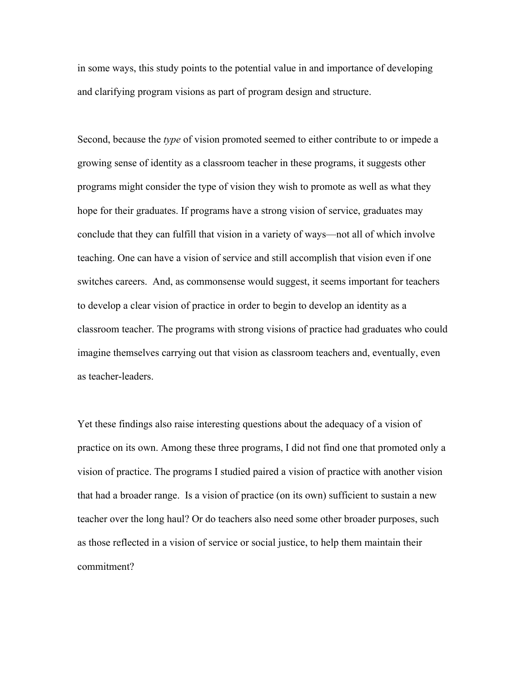in some ways, this study points to the potential value in and importance of developing and clarifying program visions as part of program design and structure.

Second, because the *type* of vision promoted seemed to either contribute to or impede a growing sense of identity as a classroom teacher in these programs, it suggests other programs might consider the type of vision they wish to promote as well as what they hope for their graduates. If programs have a strong vision of service, graduates may conclude that they can fulfill that vision in a variety of ways—not all of which involve teaching. One can have a vision of service and still accomplish that vision even if one switches careers. And, as commonsense would suggest, it seems important for teachers to develop a clear vision of practice in order to begin to develop an identity as a classroom teacher. The programs with strong visions of practice had graduates who could imagine themselves carrying out that vision as classroom teachers and, eventually, even as teacher-leaders.

Yet these findings also raise interesting questions about the adequacy of a vision of practice on its own. Among these three programs, I did not find one that promoted only a vision of practice. The programs I studied paired a vision of practice with another vision that had a broader range. Is a vision of practice (on its own) sufficient to sustain a new teacher over the long haul? Or do teachers also need some other broader purposes, such as those reflected in a vision of service or social justice, to help them maintain their commitment?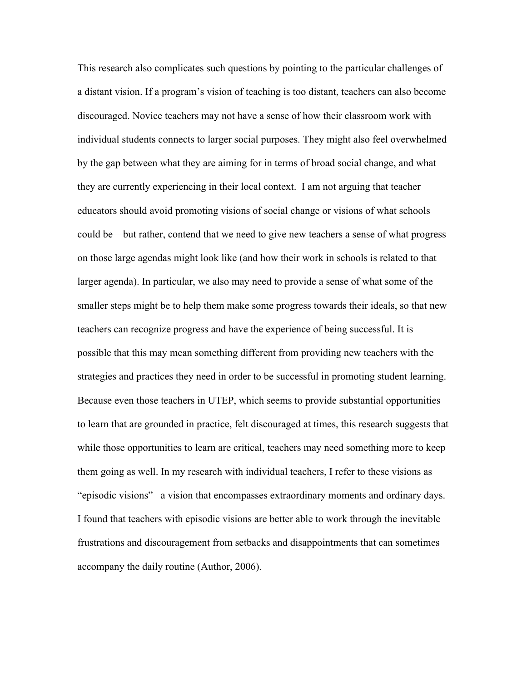This research also complicates such questions by pointing to the particular challenges of a distant vision. If a program's vision of teaching is too distant, teachers can also become discouraged. Novice teachers may not have a sense of how their classroom work with individual students connects to larger social purposes. They might also feel overwhelmed by the gap between what they are aiming for in terms of broad social change, and what they are currently experiencing in their local context. I am not arguing that teacher educators should avoid promoting visions of social change or visions of what schools could be—but rather, contend that we need to give new teachers a sense of what progress on those large agendas might look like (and how their work in schools is related to that larger agenda). In particular, we also may need to provide a sense of what some of the smaller steps might be to help them make some progress towards their ideals, so that new teachers can recognize progress and have the experience of being successful. It is possible that this may mean something different from providing new teachers with the strategies and practices they need in order to be successful in promoting student learning. Because even those teachers in UTEP, which seems to provide substantial opportunities to learn that are grounded in practice, felt discouraged at times, this research suggests that while those opportunities to learn are critical, teachers may need something more to keep them going as well. In my research with individual teachers, I refer to these visions as "episodic visions" –a vision that encompasses extraordinary moments and ordinary days. I found that teachers with episodic visions are better able to work through the inevitable frustrations and discouragement from setbacks and disappointments that can sometimes accompany the daily routine (Author, 2006).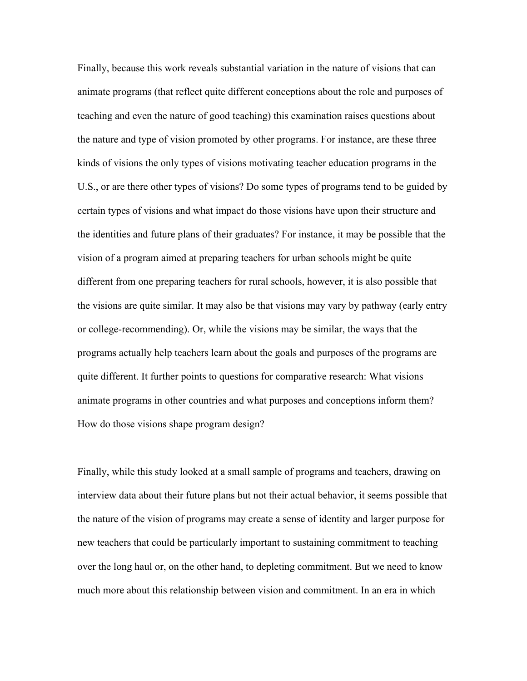Finally, because this work reveals substantial variation in the nature of visions that can animate programs (that reflect quite different conceptions about the role and purposes of teaching and even the nature of good teaching) this examination raises questions about the nature and type of vision promoted by other programs. For instance, are these three kinds of visions the only types of visions motivating teacher education programs in the U.S., or are there other types of visions? Do some types of programs tend to be guided by certain types of visions and what impact do those visions have upon their structure and the identities and future plans of their graduates? For instance, it may be possible that the vision of a program aimed at preparing teachers for urban schools might be quite different from one preparing teachers for rural schools, however, it is also possible that the visions are quite similar. It may also be that visions may vary by pathway (early entry or college-recommending). Or, while the visions may be similar, the ways that the programs actually help teachers learn about the goals and purposes of the programs are quite different. It further points to questions for comparative research: What visions animate programs in other countries and what purposes and conceptions inform them? How do those visions shape program design?

Finally, while this study looked at a small sample of programs and teachers, drawing on interview data about their future plans but not their actual behavior, it seems possible that the nature of the vision of programs may create a sense of identity and larger purpose for new teachers that could be particularly important to sustaining commitment to teaching over the long haul or, on the other hand, to depleting commitment. But we need to know much more about this relationship between vision and commitment. In an era in which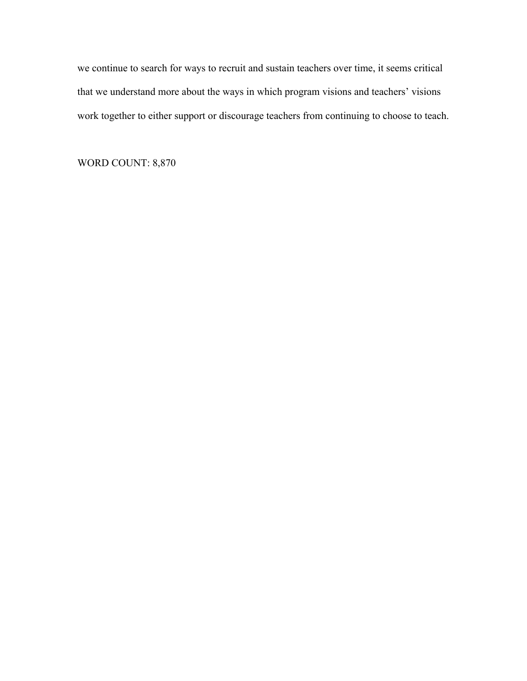we continue to search for ways to recruit and sustain teachers over time, it seems critical that we understand more about the ways in which program visions and teachers' visions work together to either support or discourage teachers from continuing to choose to teach.

WORD COUNT: 8,870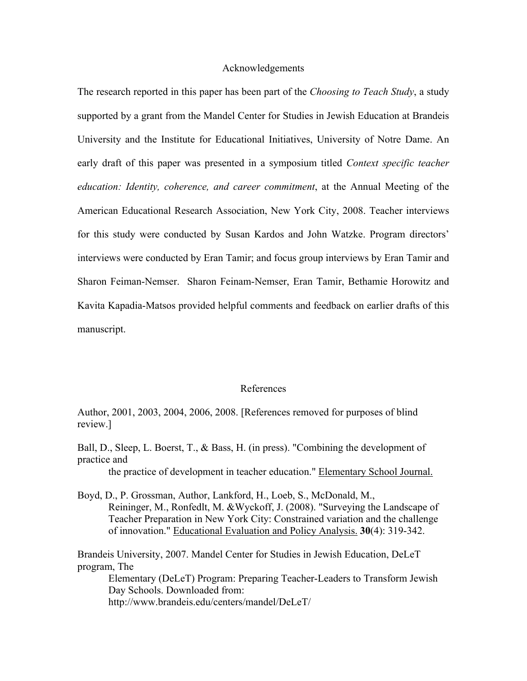#### Acknowledgements

The research reported in this paper has been part of the *Choosing to Teach Study*, a study supported by a grant from the Mandel Center for Studies in Jewish Education at Brandeis University and the Institute for Educational Initiatives, University of Notre Dame. An early draft of this paper was presented in a symposium titled *Context specific teacher education: Identity, coherence, and career commitment*, at the Annual Meeting of the American Educational Research Association, New York City, 2008. Teacher interviews for this study were conducted by Susan Kardos and John Watzke. Program directors' interviews were conducted by Eran Tamir; and focus group interviews by Eran Tamir and Sharon Feiman-Nemser. Sharon Feinam-Nemser, Eran Tamir, Bethamie Horowitz and Kavita Kapadia-Matsos provided helpful comments and feedback on earlier drafts of this manuscript.

#### References

Author, 2001, 2003, 2004, 2006, 2008. [References removed for purposes of blind review.]

Ball, D., Sleep, L. Boerst, T., & Bass, H. (in press). "Combining the development of practice and the practice of development in teacher education." Elementary School Journal.

Boyd, D., P. Grossman, Author, Lankford, H., Loeb, S., McDonald, M.,

Reininger, M., Ronfedlt, M. &Wyckoff, J. (2008). "Surveying the Landscape of Teacher Preparation in New York City: Constrained variation and the challenge of innovation." Educational Evaluation and Policy Analysis. **30**(4): 319-342.

Brandeis University, 2007. Mandel Center for Studies in Jewish Education, DeLeT program, The

Elementary (DeLeT) Program: Preparing Teacher-Leaders to Transform Jewish Day Schools. Downloaded from:

http://www.brandeis.edu/centers/mandel/DeLeT/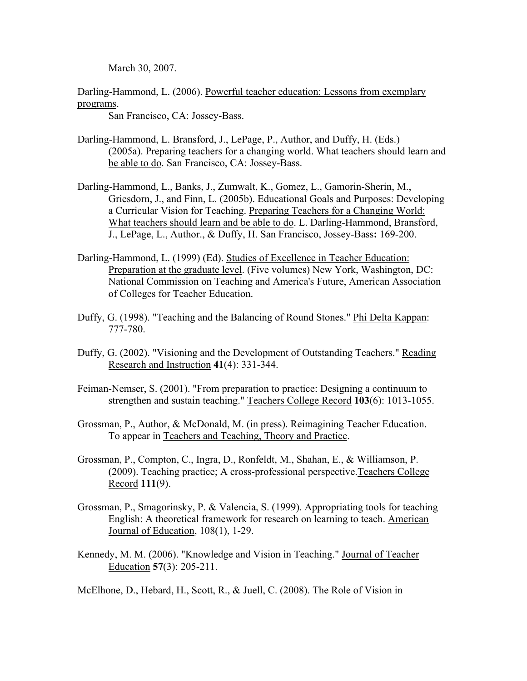March 30, 2007.

Darling-Hammond, L. (2006). Powerful teacher education: Lessons from exemplary programs.

San Francisco, CA: Jossey-Bass.

- Darling-Hammond, L. Bransford, J., LePage, P., Author, and Duffy, H. (Eds.) (2005a). Preparing teachers for a changing world. What teachers should learn and be able to do. San Francisco, CA: Jossey-Bass.
- Darling-Hammond, L., Banks, J., Zumwalt, K., Gomez, L., Gamorin-Sherin, M., Griesdorn, J., and Finn, L. (2005b). Educational Goals and Purposes: Developing a Curricular Vision for Teaching. Preparing Teachers for a Changing World: What teachers should learn and be able to do. L. Darling-Hammond, Bransford, J., LePage, L., Author., & Duffy, H. San Francisco, Jossey-Bass**:** 169-200.
- Darling-Hammond, L. (1999) (Ed). Studies of Excellence in Teacher Education: Preparation at the graduate level. (Five volumes) New York, Washington, DC: National Commission on Teaching and America's Future, American Association of Colleges for Teacher Education.
- Duffy, G. (1998). "Teaching and the Balancing of Round Stones." Phi Delta Kappan: 777-780.
- Duffy, G. (2002). "Visioning and the Development of Outstanding Teachers." Reading Research and Instruction **41**(4): 331-344.
- Feiman-Nemser, S. (2001). "From preparation to practice: Designing a continuum to strengthen and sustain teaching." Teachers College Record **103**(6): 1013-1055.
- Grossman, P., Author, & McDonald, M. (in press). Reimagining Teacher Education. To appear in Teachers and Teaching, Theory and Practice.
- Grossman, P., Compton, C., Ingra, D., Ronfeldt, M., Shahan, E., & Williamson, P. (2009). Teaching practice; A cross-professional perspective.Teachers College Record **111**(9).
- Grossman, P., Smagorinsky, P. & Valencia, S. (1999). Appropriating tools for teaching English: A theoretical framework for research on learning to teach. American Journal of Education, 108(1), 1-29.
- Kennedy, M. M. (2006). "Knowledge and Vision in Teaching." Journal of Teacher Education **57**(3): 205-211.

McElhone, D., Hebard, H., Scott, R., & Juell, C. (2008). The Role of Vision in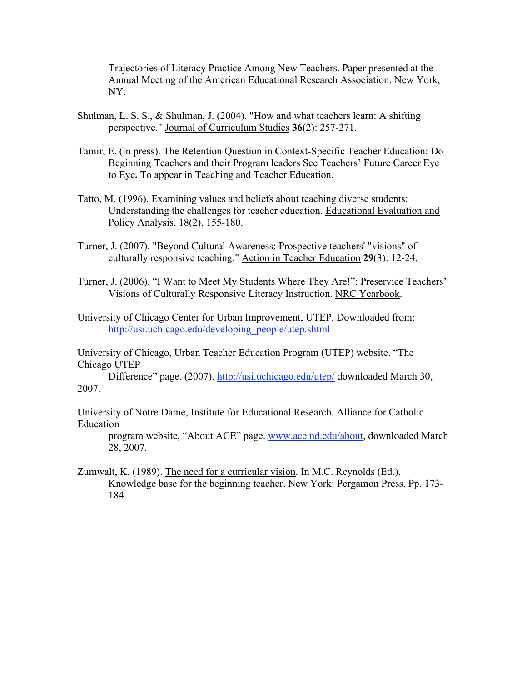Trajectories of Literacy Practice Among New Teachers. Paper presented at the Annual Meeting of the American Educational Research Association, New York, NY.

- Shulman, L. S. S., & Shulman, J. (2004). "How and what teachers learn: A shifting perspective." Journal of Curriculum Studies **36**(2): 257-271.
- Tamir, E. (in press). The Retention Question in Context-Specific Teacher Education: Do Beginning Teachers and their Program leaders See Teachers' Future Career Eye to Eye**.** To appear in Teaching and Teacher Education.
- Tatto, M. (1996). Examining values and beliefs about teaching diverse students: Understanding the challenges for teacher education. Educational Evaluation and Policy Analysis, 18(2), 155-180.
- Turner, J. (2007). "Beyond Cultural Awareness: Prospective teachers' "visions" of culturally responsive teaching." Action in Teacher Education **29**(3): 12-24.
- Turner, J. (2006). "I Want to Meet My Students Where They Are!": Preservice Teachers' Visions of Culturally Responsive Literacy Instruction. NRC Yearbook.
- University of Chicago Center for Urban Improvement, UTEP. Downloaded from: http://usi.uchicago.edu/developing\_people/utep.shtml

University of Chicago, Urban Teacher Education Program (UTEP) website. "The Chicago UTEP

Difference" page. (2007). http://usi.uchicago.edu/utep/ downloaded March 30, 2007.

University of Notre Dame, Institute for Educational Research, Alliance for Catholic Education

program website, "About ACE" page. www.ace.nd.edu/about, downloaded March 28, 2007.

Zumwalt, K. (1989). The need for a curricular vision. In M.C. Reynolds (Ed.), Knowledge base for the beginning teacher. New York: Pergamon Press. Pp. 173- 184.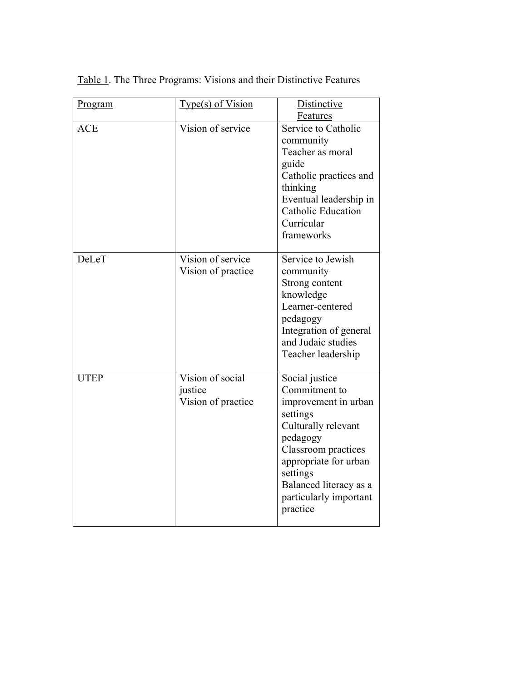| Program     | Type(s) of Vision                                 | Distinctive<br>Features                                                                                                                                                                                                            |
|-------------|---------------------------------------------------|------------------------------------------------------------------------------------------------------------------------------------------------------------------------------------------------------------------------------------|
| <b>ACE</b>  | Vision of service                                 | Service to Catholic<br>community<br>Teacher as moral<br>guide<br>Catholic practices and<br>thinking<br>Eventual leadership in<br><b>Catholic Education</b><br>Curricular<br>frameworks                                             |
| DeLeT       | Vision of service<br>Vision of practice           | Service to Jewish<br>community<br>Strong content<br>knowledge<br>Learner-centered<br>pedagogy<br>Integration of general<br>and Judaic studies<br>Teacher leadership                                                                |
| <b>UTEP</b> | Vision of social<br>justice<br>Vision of practice | Social justice<br>Commitment to<br>improvement in urban<br>settings<br>Culturally relevant<br>pedagogy<br>Classroom practices<br>appropriate for urban<br>settings<br>Balanced literacy as a<br>particularly important<br>practice |

Table 1. The Three Programs: Visions and their Distinctive Features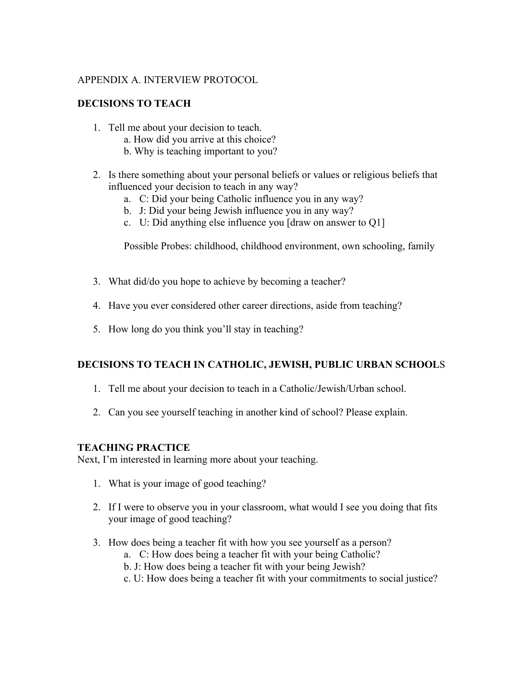### APPENDIX A. INTERVIEW PROTOCOL

### **DECISIONS TO TEACH**

- 1. Tell me about your decision to teach.
	- a. How did you arrive at this choice?
	- b. Why is teaching important to you?
- 2. Is there something about your personal beliefs or values or religious beliefs that influenced your decision to teach in any way?
	- a. C: Did your being Catholic influence you in any way?
	- b. J: Did your being Jewish influence you in any way?
	- c. U: Did anything else influence you [draw on answer to Q1]

Possible Probes: childhood, childhood environment, own schooling, family

- 3. What did/do you hope to achieve by becoming a teacher?
- 4. Have you ever considered other career directions, aside from teaching?
- 5. How long do you think you'll stay in teaching?

## **DECISIONS TO TEACH IN CATHOLIC, JEWISH, PUBLIC URBAN SCHOOL**S

- 1. Tell me about your decision to teach in a Catholic/Jewish/Urban school.
- 2. Can you see yourself teaching in another kind of school? Please explain.

### **TEACHING PRACTICE**

Next, I'm interested in learning more about your teaching.

- 1. What is your image of good teaching?
- 2. If I were to observe you in your classroom, what would I see you doing that fits your image of good teaching?
- 3. How does being a teacher fit with how you see yourself as a person?
	- a. C: How does being a teacher fit with your being Catholic?
	- b. J: How does being a teacher fit with your being Jewish?
	- c. U: How does being a teacher fit with your commitments to social justice?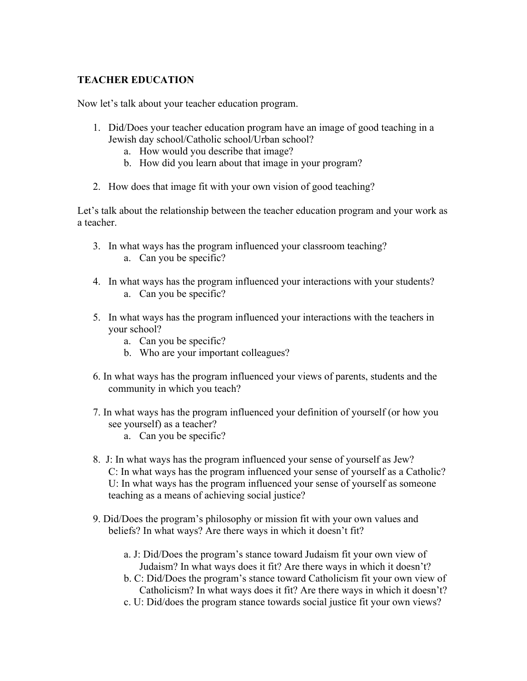## **TEACHER EDUCATION**

Now let's talk about your teacher education program.

- 1. Did/Does your teacher education program have an image of good teaching in a Jewish day school/Catholic school/Urban school?
	- a. How would you describe that image?
	- b. How did you learn about that image in your program?
- 2. How does that image fit with your own vision of good teaching?

Let's talk about the relationship between the teacher education program and your work as a teacher.

- 3. In what ways has the program influenced your classroom teaching? a. Can you be specific?
- 4. In what ways has the program influenced your interactions with your students? a. Can you be specific?
- 5. In what ways has the program influenced your interactions with the teachers in your school?
	- a. Can you be specific?
	- b. Who are your important colleagues?
- 6. In what ways has the program influenced your views of parents, students and the community in which you teach?
- 7. In what ways has the program influenced your definition of yourself (or how you see yourself) as a teacher?
	- a. Can you be specific?
- 8. J: In what ways has the program influenced your sense of yourself as Jew? C: In what ways has the program influenced your sense of yourself as a Catholic? U: In what ways has the program influenced your sense of yourself as someone teaching as a means of achieving social justice?
- 9. Did/Does the program's philosophy or mission fit with your own values and beliefs? In what ways? Are there ways in which it doesn't fit?
	- a. J: Did/Does the program's stance toward Judaism fit your own view of Judaism? In what ways does it fit? Are there ways in which it doesn't?
	- b. C: Did/Does the program's stance toward Catholicism fit your own view of Catholicism? In what ways does it fit? Are there ways in which it doesn't?
	- c. U: Did/does the program stance towards social justice fit your own views?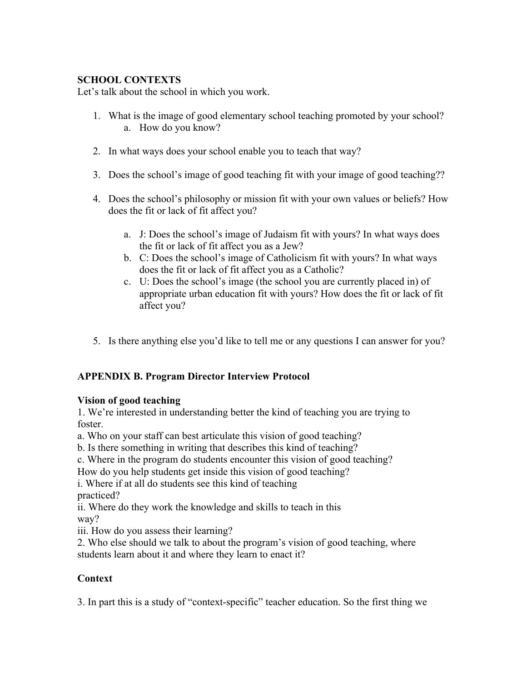## **SCHOOL CONTEXTS**

Let's talk about the school in which you work.

- 1. What is the image of good elementary school teaching promoted by your school? a. How do you know?
- 2. In what ways does your school enable you to teach that way?
- 3. Does the school's image of good teaching fit with your image of good teaching??
- 4. Does the school's philosophy or mission fit with your own values or beliefs? How does the fit or lack of fit affect you?
	- a. J: Does the school's image of Judaism fit with yours? In what ways does the fit or lack of fit affect you as a Jew?
	- b. C: Does the school's image of Catholicism fit with yours? In what ways does the fit or lack of fit affect you as a Catholic?
	- c. U: Does the school's image (the school you are currently placed in) of appropriate urban education fit with yours? How does the fit or lack of fit affect you?
- 5. Is there anything else you'd like to tell me or any questions I can answer for you?

## **APPENDIX B. Program Director Interview Protocol**

## **Vision of good teaching**

1. We're interested in understanding better the kind of teaching you are trying to foster.

a. Who on your staff can best articulate this vision of good teaching?

b. Is there something in writing that describes this kind of teaching?

c. Where in the program do students encounter this vision of good teaching?

How do you help students get inside this vision of good teaching?

i. Where if at all do students see this kind of teaching

practiced?

ii. Where do they work the knowledge and skills to teach in this way?

iii. How do you assess their learning?

2. Who else should we talk to about the program's vision of good teaching, where students learn about it and where they learn to enact it?

# **Context**

3. In part this is a study of "context-specific" teacher education. So the first thing we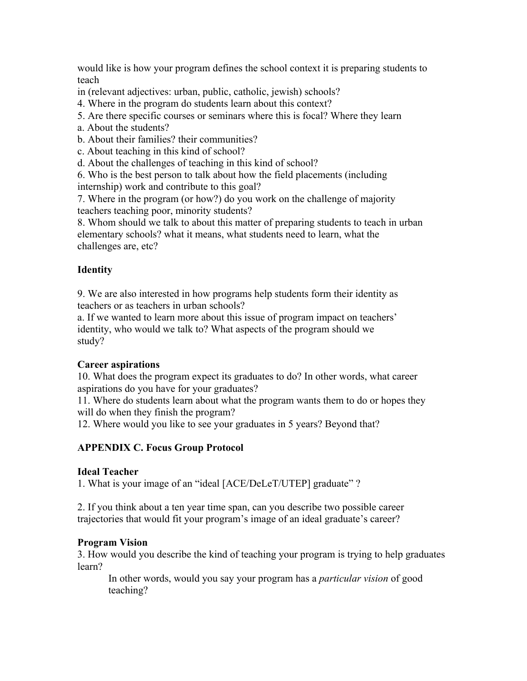would like is how your program defines the school context it is preparing students to teach

in (relevant adjectives: urban, public, catholic, jewish) schools?

- 4. Where in the program do students learn about this context?
- 5. Are there specific courses or seminars where this is focal? Where they learn
- a. About the students?
- b. About their families? their communities?
- c. About teaching in this kind of school?
- d. About the challenges of teaching in this kind of school?

6. Who is the best person to talk about how the field placements (including internship) work and contribute to this goal?

7. Where in the program (or how?) do you work on the challenge of majority teachers teaching poor, minority students?

8. Whom should we talk to about this matter of preparing students to teach in urban elementary schools? what it means, what students need to learn, what the challenges are, etc?

# **Identity**

9. We are also interested in how programs help students form their identity as teachers or as teachers in urban schools?

a. If we wanted to learn more about this issue of program impact on teachers' identity, who would we talk to? What aspects of the program should we study?

## **Career aspirations**

10. What does the program expect its graduates to do? In other words, what career aspirations do you have for your graduates?

11. Where do students learn about what the program wants them to do or hopes they will do when they finish the program?

12. Where would you like to see your graduates in 5 years? Beyond that?

# **APPENDIX C. Focus Group Protocol**

## **Ideal Teacher**

1. What is your image of an "ideal [ACE/DeLeT/UTEP] graduate" ?

2. If you think about a ten year time span, can you describe two possible career trajectories that would fit your program's image of an ideal graduate's career?

## **Program Vision**

3. How would you describe the kind of teaching your program is trying to help graduates learn?

In other words, would you say your program has a *particular vision* of good teaching?